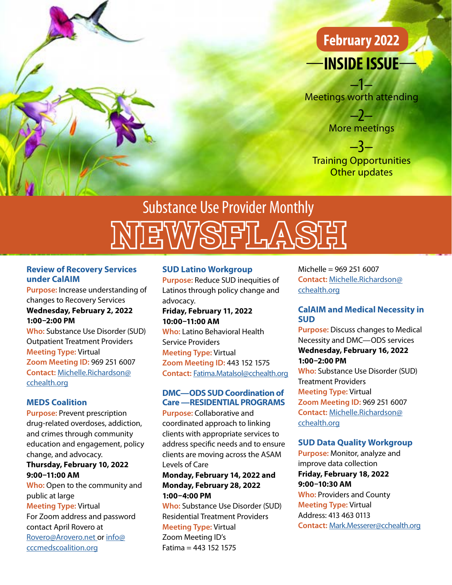

## —**INSIDE ISSUE**— **February 2022**

–1– Meetings worth attending

> –2– More meetings

–3– Training Opportunities Other updates

# EWSFLAS Substance Use Provider Monthly

#### **Review of Recovery Services under CalAIM**

**Purpose:** Increase understanding of changes to Recovery Services **Wednesday, February 2, 2022 1:00–2:00 PM**

**Who:** Substance Use Disorder (SUD) Outpatient Treatment Providers **Meeting Type:** Virtual **Zoom Meeting ID:** 969 251 6007 **Contact:** [Michelle.Richardson@](mailto:Michelle.Richardson%40cchealth.org?subject=Review%20of%20Recovery%20Services%20under%20CalAIM) [cchealth.org](mailto:Michelle.Richardson%40cchealth.org?subject=Review%20of%20Recovery%20Services%20under%20CalAIM)

#### **MEDS Coalition**

**Purpose:** Prevent prescription drug-related overdoses, addiction, and crimes through community education and engagement, policy change, and advocacy.

#### **Thursday, February 10, 2022 9:00–11:00 AM**

**Who:** Open to the community and public at large **Meeting Type:** Virtual For Zoom address and password contact April Rovero at [Rovero@Arovero.net](mailto:Rovero%40Arovero.net?subject=MEDS%20Coalition) or [info@](mailto:info%40cccmedscoalition.org?subject=MEDS%20Coalition) [cccmedscoalition.org](mailto:info%40cccmedscoalition.org?subject=MEDS%20Coalition)

#### **SUD Latino Workgroup**

**Purpose:** Reduce SUD inequities of Latinos through policy change and advocacy.

**Friday, February 11, 2022 10:00–11:00 AM**

**Who:** Latino Behavioral Health Service Providers **Meeting Type:** Virtual **Zoom Meeting ID:** 443 152 1575 **Contact:** [Fatima.Matalsol@cchealth.org](mailto:Fatima.Matalsol%40cchealth.org?subject=SUD%20Latino%20Workgroup)

#### **DMC—ODS SUD Coordination of Care —RESIDENTIAL PROGRAMS**

**Purpose:** Collaborative and coordinated approach to linking clients with appropriate services to address specific needs and to ensure clients are moving across the ASAM Levels of Care

#### **Monday, February 14, 2022 and Monday, February 28, 2022 1:00–4:00 PM**

**Who:** Substance Use Disorder (SUD) Residential Treatment Providers **Meeting Type:** Virtual Zoom Meeting ID's

Fatima = 443 152 1575

Michelle = 969 251 6007 **Contact:** [Michelle.Richardson@](mailto:Michelle.Richardson%40cchealth.org?subject=DMC-ODS%20SUD%20Coordination%20of%20Care%20%E2%80%93%20RESIDENTIAL%20PROGRAMS) [cchealth.org](mailto:Michelle.Richardson%40cchealth.org?subject=DMC-ODS%20SUD%20Coordination%20of%20Care%20%E2%80%93%20RESIDENTIAL%20PROGRAMS)

#### **CalAIM and Medical Necessity in SUD**

**Purpose:** Discuss changes to Medical Necessity and DMC—ODS services **Wednesday, February 16, 2022 1:00–2:00 PM Who:** Substance Use Disorder (SUD)

Treatment Providers **Meeting Type:** Virtual **Zoom Meeting ID:** 969 251 6007 **Contact:** [Michelle.Richardson@](mailto:Michelle.Richardson%40cchealth.org?subject=CalAIM%20and%20Medical%20Necessity%20in%20SUD%20) [cchealth.org](mailto:Michelle.Richardson%40cchealth.org?subject=CalAIM%20and%20Medical%20Necessity%20in%20SUD%20)

#### **SUD Data Quality Workgroup**

**Purpose:** Monitor, analyze and improve data collection **Friday, February 18, 2022 9:00–10:30 AM Who:** Providers and County **Meeting Type:** Virtual Address: 413 463 0113 **Contact:** [Mark.Messerer@cchealth.org](mailto:Mark.Messerer%40cchealth.org?subject=SUD%20Data%20Quality%20Workgroup)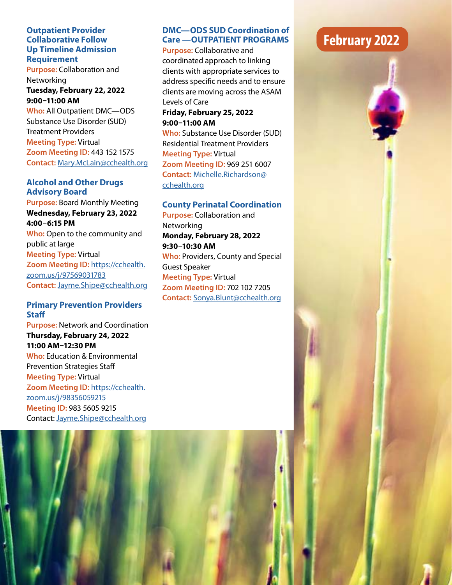#### **Outpatient Provider Collaborative Follow Up Timeline Admission Requirement**

**Purpose:** Collaboration and Networking

**Tuesday, February 22, 2022 9:00–11:00 AM**

**Who:** All Outpatient DMC—ODS Substance Use Disorder (SUD) Treatment Providers **Meeting Type:** Virtual **Zoom Meeting ID:** 443 152 1575 **Contact:** [Mary.McLain@cchealth.org](mailto:Mary.McLain%40cchealth.org?subject=Outpatient%20Provider%20Collaborative%20Follow%20Up%20Timeline%20Admission%20Requirement%20)

#### **Alcohol and Other Drugs Advisory Board**

**Purpose:** Board Monthly Meeting **Wednesday, February 23, 2022 4:00–6:15 PM Who:** Open to the community and public at large **Meeting Type:** Virtual

**Zoom Meeting ID:** [https://cchealth.](https://cchealth.zoom.us/j/97569031783) [zoom.us/j/97569031783](https://cchealth.zoom.us/j/97569031783) **Contact:** [Jayme.Shipe@cchealth.org](mailto:Jayme.Shipe%40cchealth.org?subject=Alcohol%20and%20Other%20Drugs%20Advisory%20Bo)

#### **Primary Prevention Providers Staff**

**Purpose:** Network and Coordination **Thursday, February 24, 2022 11:00 AM–12:30 PM Who:** Education & Environmental Prevention Strategies Staff **Meeting Type:** Virtual **Zoom Meeting ID:** [https://cchealth.](https://cchealth.zoom.us/j/98356059215) [zoom.us/j/98356059215](https://cchealth.zoom.us/j/98356059215)  **Meeting ID:** 983 5605 9215 Contact: [Jayme.Shipe@cchealth.org](mailto:Jayme.Shipe%40cchealth.org?subject=Primary%20Prevention%20Providers%20Staff)

#### **DMC—ODS SUD Coordination of Care —OUTPATIENT PROGRAMS**

**Purpose:** Collaborative and coordinated approach to linking clients with appropriate services to address specific needs and to ensure clients are moving across the ASAM Levels of Care

#### **Friday, February 25, 2022 9:00–11:00 AM**

**Who:** Substance Use Disorder (SUD) Residential Treatment Providers **Meeting Type:** Virtual **Zoom Meeting ID:** 969 251 6007 **Contact:** [Michelle.Richardson@](mailto:Michelle.Richardson%40cchealth.org?subject=DMC-ODS%20SUD%20Coordination%20of%20Care%20%E2%80%93%20OUTPATIENT%20PROGRAMS) [cchealth.org](mailto:Michelle.Richardson%40cchealth.org?subject=DMC-ODS%20SUD%20Coordination%20of%20Care%20%E2%80%93%20OUTPATIENT%20PROGRAMS)

#### **County Perinatal Coordination**

**Purpose:** Collaboration and **Networking Monday, February 28, 2022 9:30–10:30 AM Who:** Providers, County and Special Guest Speaker **Meeting Type:** Virtual **Zoom Meeting ID:** 702 102 7205 **Contact:** [Sonya.Blunt@cchealth.org](mailto:Sonya.Blunt%40cchealth.org?subject=County%20Perinatal%20Coordination%20)

### **February 2022**